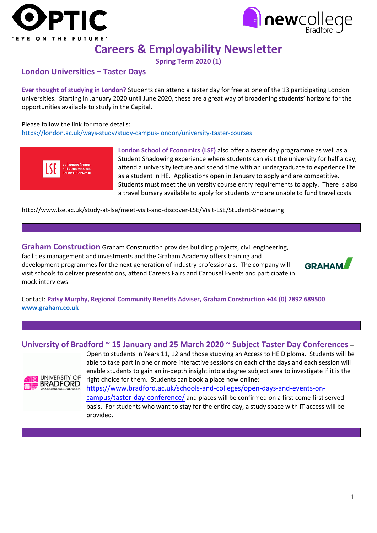



# **Careers & Employability Newsletter**

**Spring Term 2020 (1)**

### **London Universities – Taster Days**

**Ever thought of studying in London?** Students can attend a taster day for free at one of the 13 participating London universities. Starting in January 2020 until June 2020, these are a great way of broadening students' horizons for the opportunities available to study in the Capital.

Please follow the link for more details: <https://london.ac.uk/ways-study/study-campus-london/university-taster-courses>



**London School of Economics (LSE)** also offer a taster day programme as well as a Student Shadowing experience where students can visit the university for half a day, attend a university lecture and spend time with an undergraduate to experience life as a student in HE. Applications open in January to apply and are competitive. Students must meet the university course entry requirements to apply. There is also a travel bursary available to apply for students who are unable to fund travel costs.

http://www.lse.ac.uk/study-at-lse/meet-visit-and-discover-LSE/Visit-LSE/Student-Shadowing

**Graham Construction** Graham Construction provides building projects, civil engineering, facilities management and investments and the Graham Academy offers training and development programmes for the next generation of industry professionals. The company will visit schools to deliver presentations, attend Careers Fairs and Carousel Events and participate in mock interviews.



Contact: **Patsy Murphy, Regional Community Benefits Adviser, Graham Construction +44 (0) 2892 689500 [www.graham.co.uk](http://www.graham.co.uk/)** 

### **University of Bradford ~ 15 January and 25 March 2020 ~ Subject Taster Day Conferences –**



Open to students in Years 11, 12 and those studying an Access to HE Diploma. Students will be able to take part in one or more interactive sessions on each of the days and each session will enable students to gain an in-depth insight into a degree subject area to investigate if it is the right choice for them. Students can book a place now online:

[https://www.bradford.ac.uk/schools-and-colleges/open-days-and-events-on](https://www.bradford.ac.uk/schools-and-colleges/open-days-and-events-on-campus/taster-day-conference/)[campus/taster-day-conference/](https://www.bradford.ac.uk/schools-and-colleges/open-days-and-events-on-campus/taster-day-conference/) and places will be confirmed on a first come first served basis. For students who want to stay for the entire day, a study space with IT access will be provided.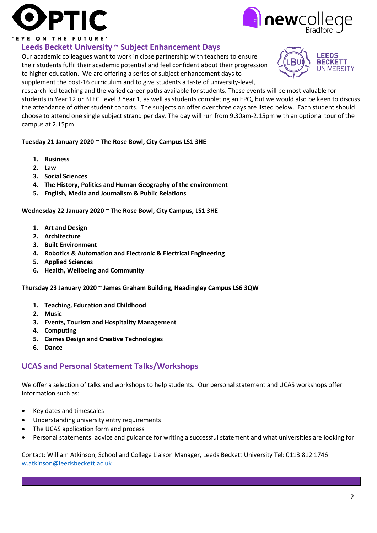



#### EYE ON THE FUTURE'

### **Leeds Beckett University ~ Subject Enhancement Days**

Our academic colleagues want to work in close partnership with teachers to ensure their students fulfil their academic potential and feel confident about their progression to higher education. We are offering a series of subject enhancement days to supplement the post-16 curriculum and to give students a taste of university-level,



research-led teaching and the varied career paths available for students. These events will be most valuable for students in Year 12 or BTEC Level 3 Year 1, as well as students completing an EPQ, but we would also be keen to discuss the attendance of other student cohorts. The subjects on offer over three days are listed below. Each student should choose to attend one single subject strand per day. The day will run from 9.30am-2.15pm with an optional tour of the campus at 2.15pm

### **Tuesday 21 January 2020 ~ The Rose Bowl, City Campus LS1 3HE**

- **1. Business**
- **2. Law**
- **3. Social Sciences**
- **4. The History, Politics and Human Geography of the environment**
- **5. English, Media and Journalism & Public Relations**

#### **Wednesday 22 January 2020 ~ The Rose Bowl, City Campus, LS1 3HE**

- **1. Art and Design**
- **2. Architecture**
- **3. Built Environment**
- **4. Robotics & Automation and Electronic & Electrical Engineering**
- **5. Applied Sciences**
- **6. Health, Wellbeing and Community**

**Thursday 23 January 2020 ~ James Graham Building, Headingley Campus LS6 3QW**

- **1. Teaching, Education and Childhood**
- **2. Music**
- **3. Events, Tourism and Hospitality Management**
- **4. Computing**
- **5. Games Design and Creative Technologies**
- **6. Dance**

### **UCAS and Personal Statement Talks/Workshops**

We offer a selection of talks and workshops to help students. Our personal statement and UCAS workshops offer information such as:

- Key dates and timescales
- Understanding university entry requirements
- The UCAS application form and process
- Personal statements: advice and guidance for writing a successful statement and what universities are looking for

Contact: William Atkinson, School and College Liaison Manager, Leeds Beckett University Tel: 0113 812 1746 [w.atkinson@leedsbeckett.ac.uk](mailto:w.atkinson@leedsbeckett.ac.uk)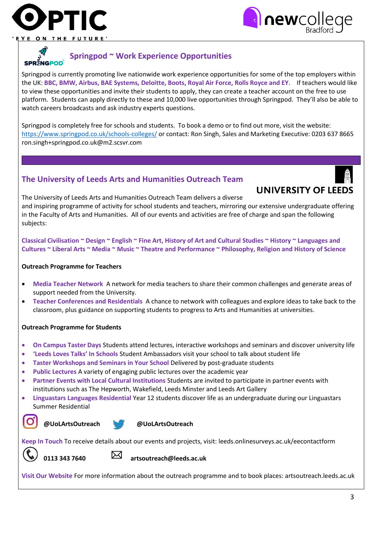



ON THE

#### **Springpod ~ Work Experience Opportunities SPR<sup>S</sup>NGPOD**

Springpod is currently promoting live nationwide work experience opportunities for some of the top employers within the UK: **BBC, BMW, Airbus, BAE Systems, Deloitte, Boots, Royal Air Force, Rolls Royce and EY**. If teachers would like to view these opportunities and invite their students to apply, they can create a teacher account on the free to use platform. Students can apply directly to these and 10,000 live opportunities through Springpod. They'll also be able to watch careers broadcasts and ask industry experts questions.

Springpod is completely free for schools and students. To book a demo or to find out more, visit the website: <https://www.springpod.co.uk/schools-colleges/> or contact: Ron Singh, Sales and Marketing Executive: 0203 637 8665 ron.singh+springpod.co.uk@m2.scsvr.com

### **The University of Leeds Arts and Humanities Outreach Team**



UNIVERSITY OF LEEDS The University of Leeds Arts and Humanities Outreach Team delivers a diverse and inspiring programme of activity for school students and teachers, mirroring our extensive undergraduate offering in the Faculty of Arts and Humanities. All of our events and activities are free of charge and span the following subjects:

**Classical Civilisation ~ Design ~ English ~ Fine Art, History of Art and Cultural Studies ~ History ~ Languages and Cultures ~ Liberal Arts ~ Media ~ Music ~ Theatre and Performance ~ Philosophy, Religion and History of Science**

### **Outreach Programme for Teachers**

- **Media Teacher Network** A network for media teachers to share their common challenges and generate areas of support needed from the University.
- **Teacher Conferences and Residentials** A chance to network with colleagues and explore ideas to take back to the classroom, plus guidance on supporting students to progress to Arts and Humanities at universities.

#### **Outreach Programme for Students**

- **On Campus Taster Days** Students attend lectures, interactive workshops and seminars and discover university life
- **'Leeds Loves Talks' In Schools** Student Ambassadors visit your school to talk about student life
- **Taster Workshops and Seminars in Your School** Delivered by post-graduate students
- **Public Lectures** A variety of engaging public lectures over the academic year
- **Partner Events with Local Cultural Institutions** Students are invited to participate in partner events with institutions such as The Hepworth, Wakefield, Leeds Minster and Leeds Art Gallery
- **Linguastars Languages Residential** Year 12 students discover life as an undergraduate during our Linguastars Summer Residential



#### **@UoLArtsOutreach @UoLArtsOutreach**

**Keep In Touch** To receive details about our events and projects, visit: leeds.onlinesurveys.ac.uk/eecontactform



**0113 343 7640 artsoutreach@leeds.ac.uk** 

**Visit Our Website** For more information about the outreach programme and to book places: artsoutreach.leeds.ac.uk